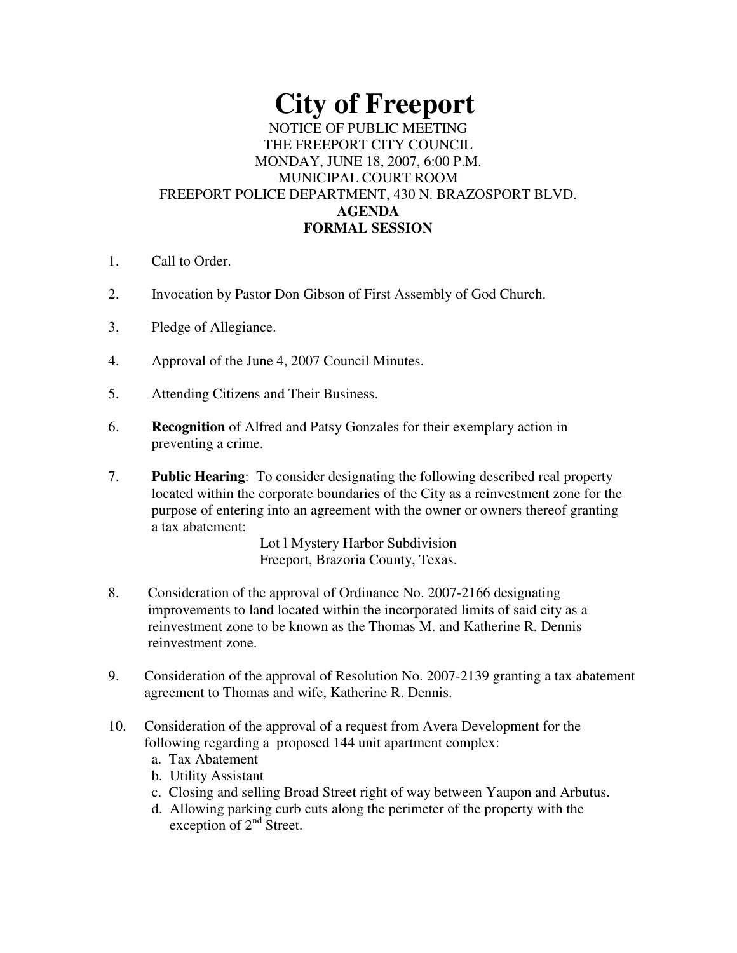# **City of Freeport**

# NOTICE OF PUBLIC MEETING THE FREEPORT CITY COUNCIL MONDAY, JUNE 18, 2007, 6:00 P.M. MUNICIPAL COURT ROOM FREEPORT POLICE DEPARTMENT, 430 N. BRAZOSPORT BLVD. **AGENDA FORMAL SESSION**

- 1. Call to Order.
- 2. Invocation by Pastor Don Gibson of First Assembly of God Church.
- 3. Pledge of Allegiance.
- 4. Approval of the June 4, 2007 Council Minutes.
- 5. Attending Citizens and Their Business.
- 6. **Recognition** of Alfred and Patsy Gonzales for their exemplary action in preventing a crime.
- 7. **Public Hearing**: To consider designating the following described real property located within the corporate boundaries of the City as a reinvestment zone for the purpose of entering into an agreement with the owner or owners thereof granting a tax abatement:

Lot l Mystery Harbor Subdivision Freeport, Brazoria County, Texas.

- 8. Consideration of the approval of Ordinance No. 2007-2166 designating improvements to land located within the incorporated limits of said city as a reinvestment zone to be known as the Thomas M. and Katherine R. Dennis reinvestment zone.
- 9. Consideration of the approval of Resolution No. 2007-2139 granting a tax abatement agreement to Thomas and wife, Katherine R. Dennis.
- 10. Consideration of the approval of a request from Avera Development for the following regarding a proposed 144 unit apartment complex:
	- a. Tax Abatement
	- b. Utility Assistant
	- c. Closing and selling Broad Street right of way between Yaupon and Arbutus.
	- d. Allowing parking curb cuts along the perimeter of the property with the exception of  $2<sup>nd</sup>$  Street.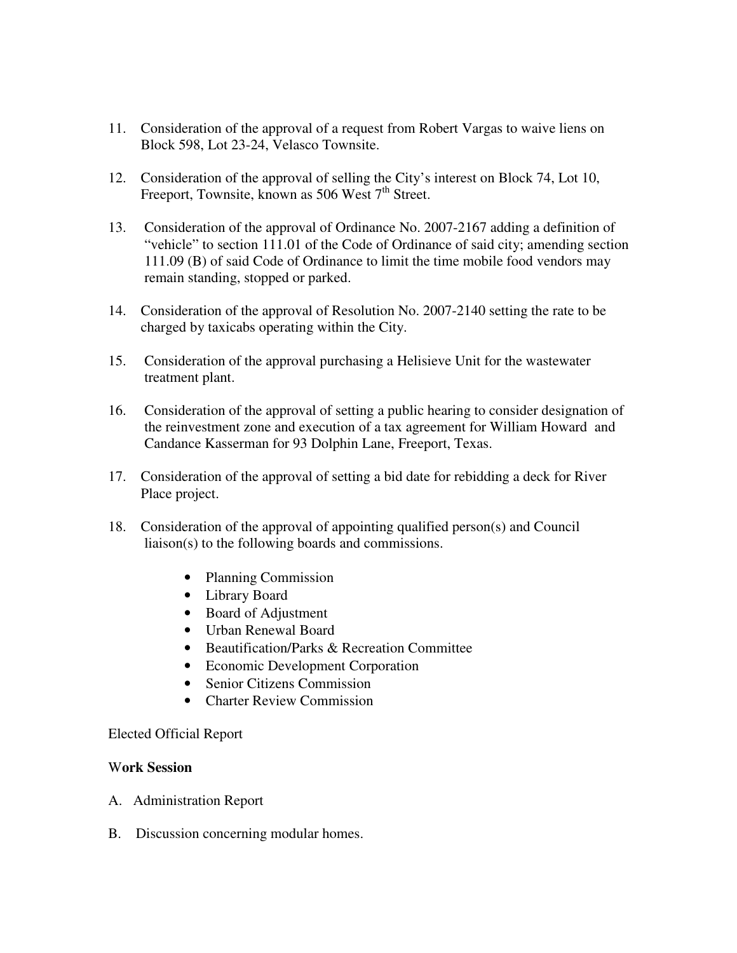- 11. Consideration of the approval of a request from Robert Vargas to waive liens on Block 598, Lot 23-24, Velasco Townsite.
- 12. Consideration of the approval of selling the City's interest on Block 74, Lot 10, Freeport, Townsite, known as 506 West  $7<sup>th</sup>$  Street.
- 13. Consideration of the approval of Ordinance No. 2007-2167 adding a definition of "vehicle" to section 111.01 of the Code of Ordinance of said city; amending section 111.09 (B) of said Code of Ordinance to limit the time mobile food vendors may remain standing, stopped or parked.
- 14. Consideration of the approval of Resolution No. 2007-2140 setting the rate to be charged by taxicabs operating within the City.
- 15. Consideration of the approval purchasing a Helisieve Unit for the wastewater treatment plant.
- 16. Consideration of the approval of setting a public hearing to consider designation of the reinvestment zone and execution of a tax agreement for William Howard and Candance Kasserman for 93 Dolphin Lane, Freeport, Texas.
- 17. Consideration of the approval of setting a bid date for rebidding a deck for River Place project.
- 18. Consideration of the approval of appointing qualified person(s) and Council liaison(s) to the following boards and commissions.
	- Planning Commission
	- Library Board
	- Board of Adjustment
	- Urban Renewal Board
	- Beautification/Parks & Recreation Committee
	- Economic Development Corporation
	- Senior Citizens Commission
	- Charter Review Commission

## Elected Official Report

## W**ork Session**

- A. Administration Report
- B. Discussion concerning modular homes.